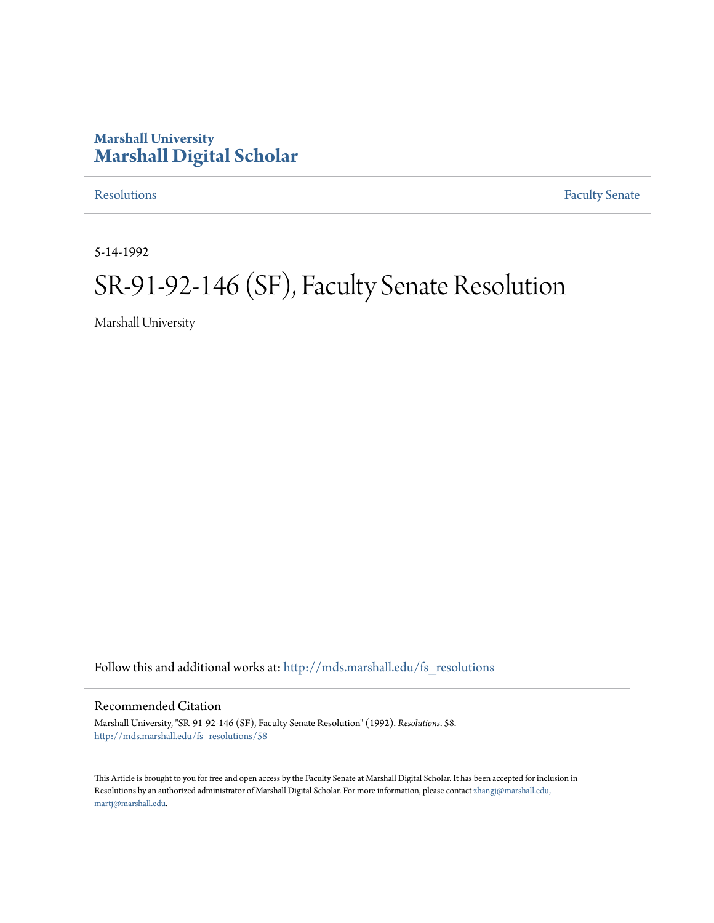# **Marshall University [Marshall Digital Scholar](http://mds.marshall.edu?utm_source=mds.marshall.edu%2Ffs_resolutions%2F58&utm_medium=PDF&utm_campaign=PDFCoverPages)**

[Resolutions](http://mds.marshall.edu/fs_resolutions?utm_source=mds.marshall.edu%2Ffs_resolutions%2F58&utm_medium=PDF&utm_campaign=PDFCoverPages) [Faculty Senate](http://mds.marshall.edu/fs?utm_source=mds.marshall.edu%2Ffs_resolutions%2F58&utm_medium=PDF&utm_campaign=PDFCoverPages)

5-14-1992

# SR-91-92-146 (SF), Faculty Senate Resolution

Marshall University

Follow this and additional works at: [http://mds.marshall.edu/fs\\_resolutions](http://mds.marshall.edu/fs_resolutions?utm_source=mds.marshall.edu%2Ffs_resolutions%2F58&utm_medium=PDF&utm_campaign=PDFCoverPages)

#### Recommended Citation

Marshall University, "SR-91-92-146 (SF), Faculty Senate Resolution" (1992). *Resolutions*. 58. [http://mds.marshall.edu/fs\\_resolutions/58](http://mds.marshall.edu/fs_resolutions/58?utm_source=mds.marshall.edu%2Ffs_resolutions%2F58&utm_medium=PDF&utm_campaign=PDFCoverPages)

This Article is brought to you for free and open access by the Faculty Senate at Marshall Digital Scholar. It has been accepted for inclusion in Resolutions by an authorized administrator of Marshall Digital Scholar. For more information, please contact [zhangj@marshall.edu,](mailto:zhangj@marshall.edu,%20martj@marshall.edu) [martj@marshall.edu](mailto:zhangj@marshall.edu,%20martj@marshall.edu).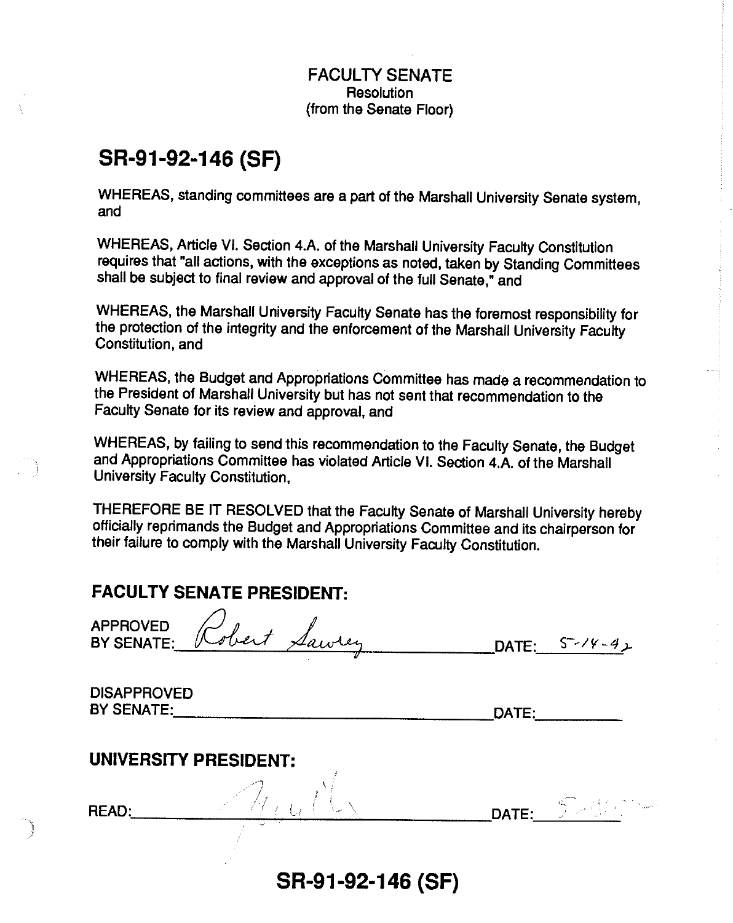#### FACULTY SENATE **Resolution** (from the Senate Floor)

# **SR-91-92-146 (SF)**

WHEREAS, standing committees are a part of the Marshall University Senate system, and

WHEREAS, Article VI. Section 4.A. of the Marshall University Faculty Constitution requires that "all actions, with the exceptions as noted, taken by Standing Committees shall be subject to final review and approval of the full Senate," and

WHEREAS, the Marshall University Faculty Senate has the foremost responsibility for the protection of the integrity and the enforcement of the Marshall University Faculty Constitution, and

WHEREAS, the Budget and Appropriations Committee has made a recommendation to the President of Marshall University but has not sent that recommendation to the Faculty Senate for its review and approval, and

WHEREAS, by failing to send this recommendation to the Faculty Senate, the Budget and Appropriations Committee has violated Article VI. Section 4.A. of the Marshall University Faculty Constitution,

THEREFORE BE IT RESOLVED that the Faculty Senate of Marshall University hereby officially reprimands the Budget and Appropriations Committee and its chairperson for their failure to comply with the Marshall University Faculty Constitution.

## **FACULTY SENATE PRESIDENT:**

| <b>FACULTY SENATE PRESIDENT:</b> |  |                     |
|----------------------------------|--|---------------------|
| APPROVED Robert Sawrey           |  | DATE: $S^{-2/4}-42$ |

DISAPPROVED BYSENATE:. \_\_\_\_\_\_\_\_\_\_\_\_\_\_\_\_ DATE: \_\_\_ \_

### **UNIVERSITY PRESIDENT:**

أحمدوه J

 $\tt READ:$  . And a set of  $\mathcal{M}_{\ell}$  , and  $\mathcal{M}_{\ell}$  is a set of  $\mathcal{M}_{\ell}$  . The set of  $\mathcal{M}_{\ell}$  is a set of  $\mathcal{M}_{\ell}$  . Then  $\mathcal{M}_{\ell}$ 

**SR-91-92-146 (SF)** 

 $\langle \cdot \rangle$